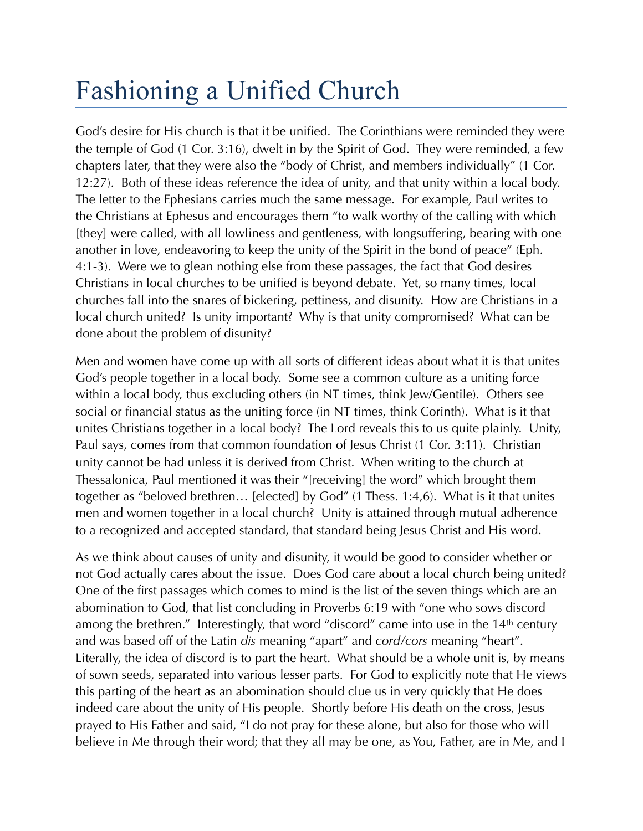## Fashioning a Unified Church

God's desire for His church is that it be unified. The Corinthians were reminded they were the temple of God (1 Cor. 3:16), dwelt in by the Spirit of God. They were reminded, a few chapters later, that they were also the "body of Christ, and members individually" (1 Cor. 12:27). Both of these ideas reference the idea of unity, and that unity within a local body. The letter to the Ephesians carries much the same message. For example, Paul writes to the Christians at Ephesus and encourages them "to walk worthy of the calling with which [they] were called, with all lowliness and gentleness, with longsuffering, bearing with one another in love, endeavoring to keep the unity of the Spirit in the bond of peace" (Eph. 4:1-3). Were we to glean nothing else from these passages, the fact that God desires Christians in local churches to be unified is beyond debate. Yet, so many times, local churches fall into the snares of bickering, pettiness, and disunity. How are Christians in a local church united? Is unity important? Why is that unity compromised? What can be done about the problem of disunity?

Men and women have come up with all sorts of different ideas about what it is that unites God's people together in a local body. Some see a common culture as a uniting force within a local body, thus excluding others (in NT times, think Jew/Gentile). Others see social or financial status as the uniting force (in NT times, think Corinth). What is it that unites Christians together in a local body? The Lord reveals this to us quite plainly. Unity, Paul says, comes from that common foundation of Jesus Christ (1 Cor. 3:11). Christian unity cannot be had unless it is derived from Christ. When writing to the church at Thessalonica, Paul mentioned it was their "[receiving] the word" which brought them together as "beloved brethren… [elected] by God" (1 Thess. 1:4,6). What is it that unites men and women together in a local church? Unity is attained through mutual adherence to a recognized and accepted standard, that standard being Jesus Christ and His word.

As we think about causes of unity and disunity, it would be good to consider whether or not God actually cares about the issue. Does God care about a local church being united? One of the first passages which comes to mind is the list of the seven things which are an abomination to God, that list concluding in Proverbs 6:19 with "one who sows discord among the brethren." Interestingly, that word "discord" came into use in the 14<sup>th</sup> century and was based off of the Latin *dis* meaning "apart" and *cord/cors* meaning "heart". Literally, the idea of discord is to part the heart. What should be a whole unit is, by means of sown seeds, separated into various lesser parts. For God to explicitly note that He views this parting of the heart as an abomination should clue us in very quickly that He does indeed care about the unity of His people. Shortly before His death on the cross, Jesus prayed to His Father and said, "I do not pray for these alone, but also for those who will believe in Me through their word; that they all may be one, as You, Father, are in Me, and I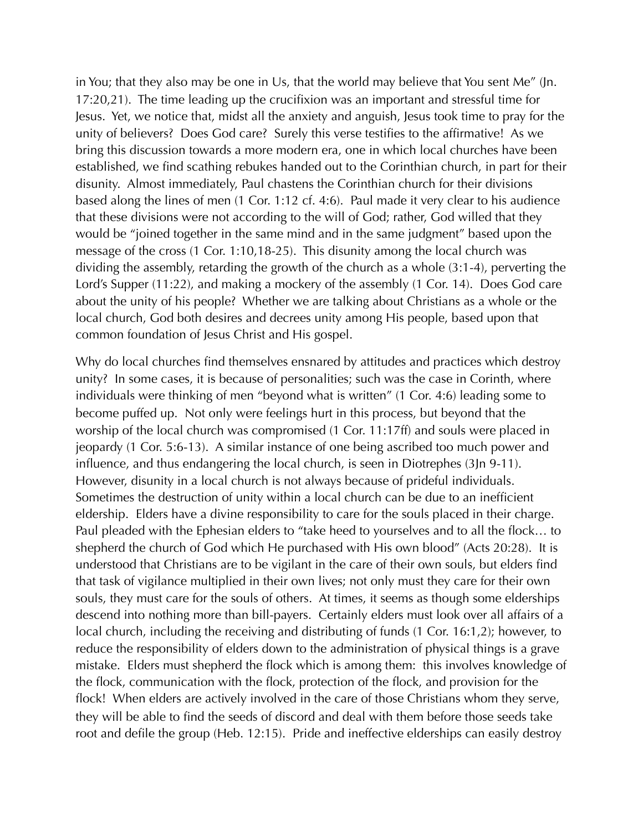in You; that they also may be one in Us, that the world may believe that You sent Me" (Jn. 17:20,21). The time leading up the crucifixion was an important and stressful time for Jesus. Yet, we notice that, midst all the anxiety and anguish, Jesus took time to pray for the unity of believers? Does God care? Surely this verse testifies to the affirmative! As we bring this discussion towards a more modern era, one in which local churches have been established, we find scathing rebukes handed out to the Corinthian church, in part for their disunity. Almost immediately, Paul chastens the Corinthian church for their divisions based along the lines of men (1 Cor. 1:12 cf. 4:6). Paul made it very clear to his audience that these divisions were not according to the will of God; rather, God willed that they would be "joined together in the same mind and in the same judgment" based upon the message of the cross (1 Cor. 1:10,18-25). This disunity among the local church was dividing the assembly, retarding the growth of the church as a whole (3:1-4), perverting the Lord's Supper (11:22), and making a mockery of the assembly (1 Cor. 14). Does God care about the unity of his people? Whether we are talking about Christians as a whole or the local church, God both desires and decrees unity among His people, based upon that common foundation of Jesus Christ and His gospel.

Why do local churches find themselves ensnared by attitudes and practices which destroy unity? In some cases, it is because of personalities; such was the case in Corinth, where individuals were thinking of men "beyond what is written" (1 Cor. 4:6) leading some to become puffed up. Not only were feelings hurt in this process, but beyond that the worship of the local church was compromised (1 Cor. 11:17ff) and souls were placed in jeopardy (1 Cor. 5:6-13). A similar instance of one being ascribed too much power and influence, and thus endangering the local church, is seen in Diotrephes (3Jn 9-11). However, disunity in a local church is not always because of prideful individuals. Sometimes the destruction of unity within a local church can be due to an inefficient eldership. Elders have a divine responsibility to care for the souls placed in their charge. Paul pleaded with the Ephesian elders to "take heed to yourselves and to all the flock… to shepherd the church of God which He purchased with His own blood" (Acts 20:28). It is understood that Christians are to be vigilant in the care of their own souls, but elders find that task of vigilance multiplied in their own lives; not only must they care for their own souls, they must care for the souls of others. At times, it seems as though some elderships descend into nothing more than bill-payers. Certainly elders must look over all affairs of a local church, including the receiving and distributing of funds (1 Cor. 16:1,2); however, to reduce the responsibility of elders down to the administration of physical things is a grave mistake. Elders must shepherd the flock which is among them: this involves knowledge of the flock, communication with the flock, protection of the flock, and provision for the flock! When elders are actively involved in the care of those Christians whom they serve, they will be able to find the seeds of discord and deal with them before those seeds take root and defile the group (Heb. 12:15). Pride and ineffective elderships can easily destroy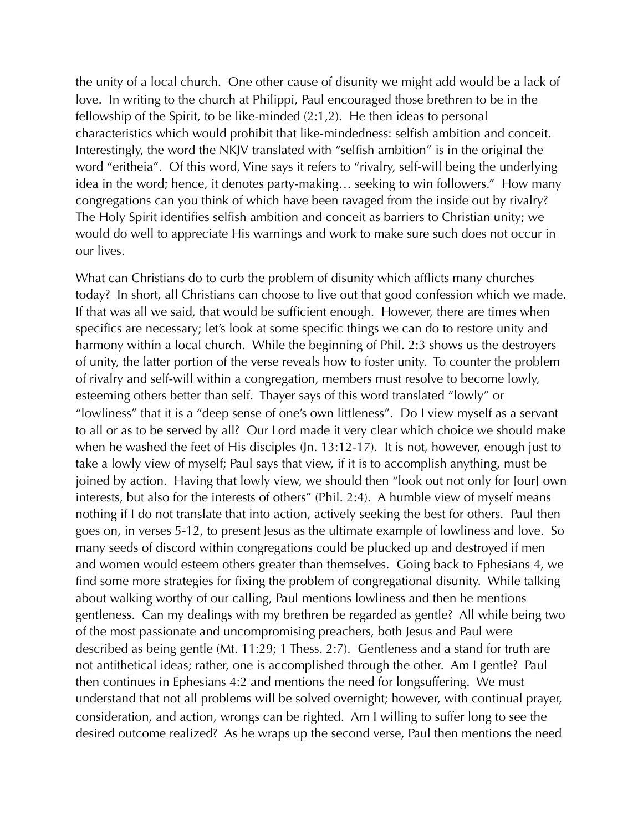the unity of a local church. One other cause of disunity we might add would be a lack of love. In writing to the church at Philippi, Paul encouraged those brethren to be in the fellowship of the Spirit, to be like-minded (2:1,2). He then ideas to personal characteristics which would prohibit that like-mindedness: selfish ambition and conceit. Interestingly, the word the NKJV translated with "selfish ambition" is in the original the word "eritheia". Of this word, Vine says it refers to "rivalry, self-will being the underlying idea in the word; hence, it denotes party-making… seeking to win followers." How many congregations can you think of which have been ravaged from the inside out by rivalry? The Holy Spirit identifies selfish ambition and conceit as barriers to Christian unity; we would do well to appreciate His warnings and work to make sure such does not occur in our lives.

What can Christians do to curb the problem of disunity which afflicts many churches today? In short, all Christians can choose to live out that good confession which we made. If that was all we said, that would be sufficient enough. However, there are times when specifics are necessary; let's look at some specific things we can do to restore unity and harmony within a local church. While the beginning of Phil. 2:3 shows us the destroyers of unity, the latter portion of the verse reveals how to foster unity. To counter the problem of rivalry and self-will within a congregation, members must resolve to become lowly, esteeming others better than self. Thayer says of this word translated "lowly" or "lowliness" that it is a "deep sense of one's own littleness". Do I view myself as a servant to all or as to be served by all? Our Lord made it very clear which choice we should make when he washed the feet of His disciples (Jn. 13:12-17). It is not, however, enough just to take a lowly view of myself; Paul says that view, if it is to accomplish anything, must be joined by action. Having that lowly view, we should then "look out not only for [our] own interests, but also for the interests of others" (Phil. 2:4). A humble view of myself means nothing if I do not translate that into action, actively seeking the best for others. Paul then goes on, in verses 5-12, to present Jesus as the ultimate example of lowliness and love. So many seeds of discord within congregations could be plucked up and destroyed if men and women would esteem others greater than themselves. Going back to Ephesians 4, we find some more strategies for fixing the problem of congregational disunity. While talking about walking worthy of our calling, Paul mentions lowliness and then he mentions gentleness. Can my dealings with my brethren be regarded as gentle? All while being two of the most passionate and uncompromising preachers, both Jesus and Paul were described as being gentle (Mt. 11:29; 1 Thess. 2:7). Gentleness and a stand for truth are not antithetical ideas; rather, one is accomplished through the other. Am I gentle? Paul then continues in Ephesians 4:2 and mentions the need for longsuffering. We must understand that not all problems will be solved overnight; however, with continual prayer, consideration, and action, wrongs can be righted. Am I willing to suffer long to see the desired outcome realized? As he wraps up the second verse, Paul then mentions the need